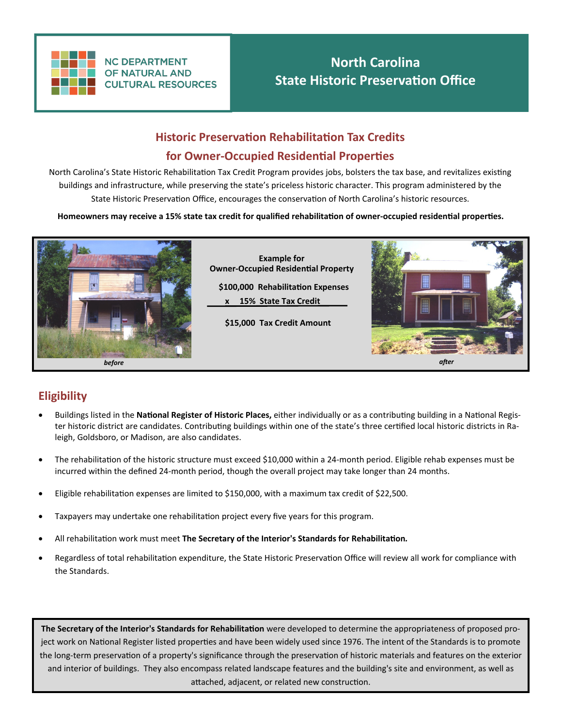

**NC DEPARTMENT OF NATURAL AND CULTURAL RESOURCES** 

# **North Carolina State Historic Preservation Office**

# **Historic Preservation Rehabilitation Tax Credits for Owner-Occupied Residential Properties**

North Carolina's State Historic Rehabilitation Tax Credit Program provides jobs, bolsters the tax base, and revitalizes existing buildings and infrastructure, while preserving the state's priceless historic character. This program administered by the State Historic Preservation Office, encourages the conservation of North Carolina's historic resources.

**Homeowners may receive a 15% state tax credit for qualified rehabilitation of owner-occupied residential properties.**



## **Eligibility**

- Buildings listed in the **National Register of Historic Places,** either individually or as a contributing building in a National Register historic district are candidates. Contributing buildings within one of the state's three certified local historic districts in Raleigh, Goldsboro, or Madison, are also candidates.
- The rehabilitation of the historic structure must exceed \$10,000 within a 24-month period. Eligible rehab expenses must be incurred within the defined 24-month period, though the overall project may take longer than 24 months.
- Eligible rehabilitation expenses are limited to \$150,000, with a maximum tax credit of \$22,500.
- Taxpayers may undertake one rehabilitation project every five years for this program.
- All rehabilitation work must meet **The Secretary of the Interior's Standards for Rehabilitation***.*
- Regardless of total rehabilitation expenditure, the State Historic Preservation Office will review all work for compliance with the Standards.

**The Secretary of the Interior's Standards for Rehabilitation** were developed to determine the appropriateness of proposed project work on National Register listed properties and have been widely used since 1976. The intent of the Standards is to promote the long-term preservation of a property's significance through the preservation of historic materials and features on the exterior and interior of buildings. They also encompass related landscape features and the building's site and environment, as well as attached, adjacent, or related new construction.